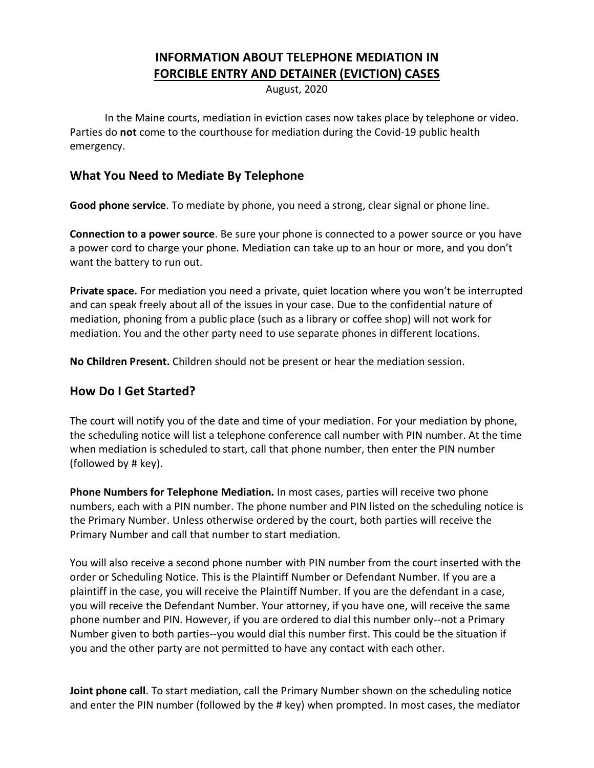# **INFORMATION ABOUT TELEPHONE MEDIATION IN FORCIBLE ENTRY AND DETAINER (EVICTION) CASES**

August, 2020

In the Maine courts, mediation in eviction cases now takes place by telephone or video. Parties do **not** come to the courthouse for mediation during the Covid-19 public health emergency.

### **What You Need to Mediate By Telephone**

**Good phone service**. To mediate by phone, you need a strong, clear signal or phone line.

**Connection to a power source**. Be sure your phone is connected to a power source or you have a power cord to charge your phone. Mediation can take up to an hour or more, and you don't want the battery to run out.

**Private space.** For mediation you need a private, quiet location where you won't be interrupted and can speak freely about all of the issues in your case. Due to the confidential nature of mediation, phoning from a public place (such as a library or coffee shop) will not work for mediation. You and the other party need to use separate phones in different locations.

**No Children Present.** Children should not be present or hear the mediation session.

### **How Do I Get Started?**

The court will notify you of the date and time of your mediation. For your mediation by phone, the scheduling notice will list a telephone conference call number with PIN number. At the time when mediation is scheduled to start, call that phone number, then enter the PIN number (followed by # key).

**Phone Numbers for Telephone Mediation.** In most cases, parties will receive two phone numbers, each with a PIN number. The phone number and PIN listed on the scheduling notice is the Primary Number. Unless otherwise ordered by the court, both parties will receive the Primary Number and call that number to start mediation.

You will also receive a second phone number with PIN number from the court inserted with the order or Scheduling Notice. This is the Plaintiff Number or Defendant Number. If you are a plaintiff in the case, you will receive the Plaintiff Number. If you are the defendant in a case, you will receive the Defendant Number. Your attorney, if you have one, will receive the same phone number and PIN. However, if you are ordered to dial this number only--not a Primary Number given to both parties--you would dial this number first. This could be the situation if you and the other party are not permitted to have any contact with each other.

**Joint phone call**. To start mediation, call the Primary Number shown on the scheduling notice and enter the PIN number (followed by the # key) when prompted. In most cases, the mediator